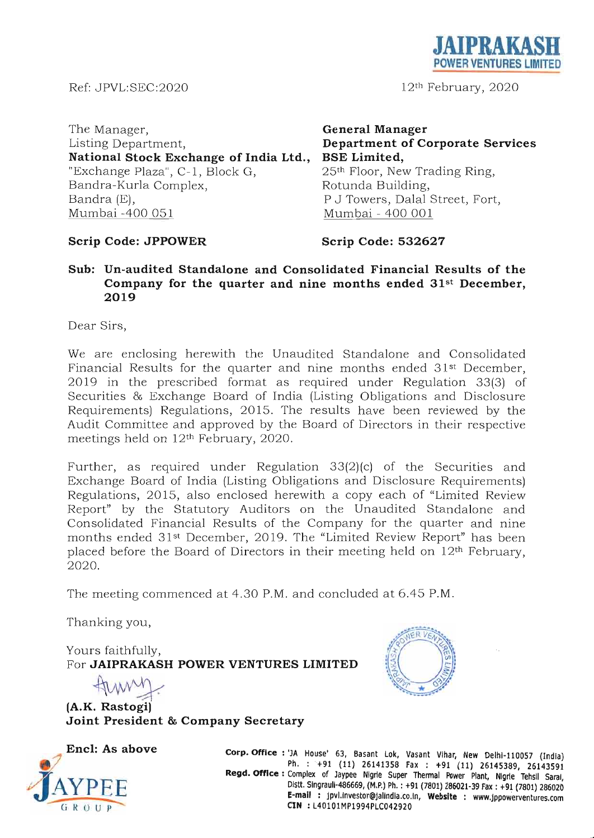**JAIPRAKASH POWER VENTURES LIMITED** 

12th February, 2020

Ref: JPVL:SEC:2020

The Manager, Listing Department, **National Stock Exchange of India Ltd.,**  "Exchange Plaza", C-1, Block G, Bandra-Kurla Complex, Bandra (E), Mumbai -400 051

**General Manager Department of Corporate Services BSE Limited,**  25th Floor, New Trading Ring, Rotunda Building, P J Towers, Dalal Street, Fort, Mumbai - 400 001

# **Scrip Code: JPPOWER**

# **Scrip Code: 532627**

# **Sub: Un-audited Standalone and Consolidated Financial Results of the Company for the quarter and nine months ended 31st December, 2019**

Dear Sirs,

We are enclosing herewith the Unaudited Standalone and Consolidated Financial Results for the quarter and nine months ended 31<sup>st</sup> December, 2 019 in the prescribed format as required under Regulation 33(3) of Securities & Exchange Board of India (Listing Obligations and Disclosure Requirements) Regulations, 2015. The results have been reviewed by the Audit Committee and approved by the Board of Directors in their respective meetings held on 12th February, 2020.

Further, as required under Regulation  $33(2)(c)$  of the Securities and Exchange Board of India (Listing Obligations and Disclosure Requirements) Regulations, 2015, also enclosed herewith a copy each of "Limited Review" Report" by the Statutory Auditors on the Unaudited Standalone and Consolidated Financial Results of the Company for the quarter and nine months ended 31<sup>st</sup> December, 2019. The "Limited Review Report" has been placed before the Board of Directors in their meeting held on 12th February, 2020.

The meeting commenced at 4.30 P.M. and concluded at 6.45 P.M.

Thanking you,

Yours faithfully, For **JAIPRAKASH POWER VENTURES LIMITED** 

Yours faithfully,<br>For **JAIPRAKASH POWER V<br>(A.K. Rastogi) Joint President & Company Secretary** 



**Encl: As above**   $\frac{1}{\sqrt{\frac{1}{N}}}\sum_{\mathbf{Q} \in \mathcal{P}}$ 

**Corp. Office** : 'JA House' 63, Basant Lok, Vasant Vlhar, New Oelhl-110057 (India) Ph. : +91 (11) 26141358 Fax : +91 (11) 26145389, 26143591 Regd. Office: Complex of Jaypee Nigrie Super Thermal Power Plant, Nigrie Tehsil Saral, Distt. Slngrauli-486669, (M.P.) Ph. : +91 (7801) 286021-39 Fax: +91(7801) 286020 **E-mail:** jpvl.investor@jallndla.co.ln, **Website** : www.jppowerventures.com **ClN** : L40101MP1994PLC042920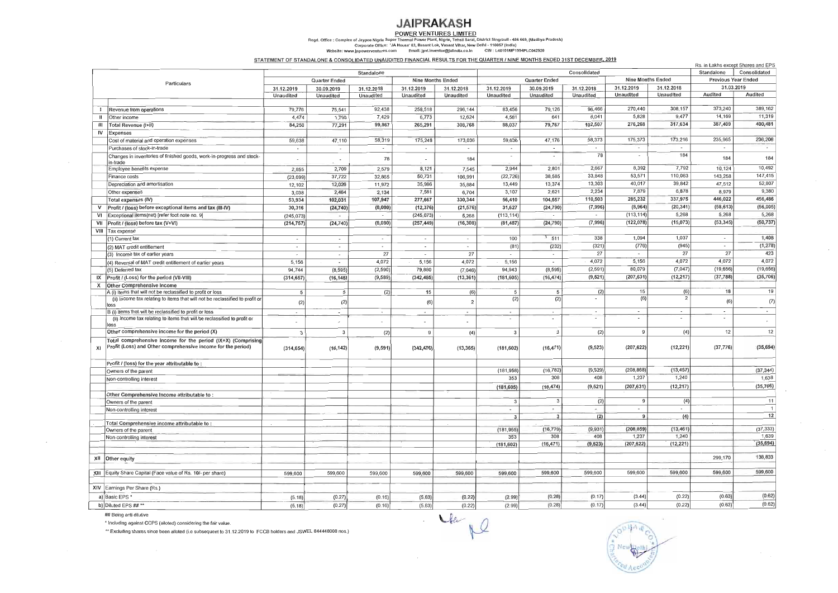**POWER VENTURES LIMITED**  egd. Office : Complex of Jaypee Nigrie Super Thermal Power Plant, Nigrie, Tehsil Sarai, District Singraull - 486 669, (Madhya Pradesh)<br>Corporate Office: 'JA House' 63, Basant Lok, Vasant Vihar, New Delhi - 110057 (India)<br>

# **JAIPRAKASH**

STATEMENT OF STANDALONE & CONSOLIDATED UNAUDITED FINANCIAL RESULTS FOR THE QUARTER I NINE MONTHS ENDED 31ST DECEMBER. 2019

|             |                                                                                                                              |                          |                          |                          |                          |                          |                |                          |                          |                          |                            | Rs. in Lakhs except Shares and EPS |                |
|-------------|------------------------------------------------------------------------------------------------------------------------------|--------------------------|--------------------------|--------------------------|--------------------------|--------------------------|----------------|--------------------------|--------------------------|--------------------------|----------------------------|------------------------------------|----------------|
|             | Consolidated<br>Standalone                                                                                                   |                          |                          |                          |                          |                          |                |                          |                          |                          | Standalone                 | Consolidated                       |                |
| Particulars |                                                                                                                              | Quarter Ended            |                          | Nine Months Ended        |                          |                          | Quarter Ended  |                          | <b>Nine Months Ended</b> |                          | <b>Previous Year Ended</b> |                                    |                |
|             |                                                                                                                              | 31.12.2019               | 30.09.2019               | 31.12.2018               | 31.12.2019               | 31.12.2018               | 31.12.2019     | 30.09.2019               | 31.12.2018               | 31.12.2019               | 31.12.2018                 | 31.03.2019                         |                |
|             |                                                                                                                              | Unaudited                | Unaudited                | Unaudited                | Unaudited                | Unaudited                | Unaudited      | Unaudited                | Unaudited                | <b>Unaudited</b>         | Unaudited                  | Audited                            | Audited        |
|             |                                                                                                                              |                          |                          |                          |                          |                          |                |                          |                          |                          |                            |                                    |                |
|             | Revenue from operations                                                                                                      | 79,776                   | 75,541                   | 92,438                   | 258,518                  | 296,144                  | 83,456         | 79,126                   | 96,466                   | 270,440                  | 308,157                    | 373,240                            | 389,162        |
|             | Other income                                                                                                                 | 4,474                    | 1,750                    | 7,429                    | 6,773                    | 12,624                   | 4,581          | 641                      | 6,041                    | 5,828                    | 9,477                      | 14,169                             | 11,319         |
| Ш           | Total Revenue (I+II)                                                                                                         | 84,250                   | 77,291                   | 99,867                   | 265,291                  | 308,768                  | 88,037         | 79,767                   | 102,507                  | 276,268                  | 317,634                    | 387,409                            | 400,481        |
| IV          | Expenses                                                                                                                     |                          |                          |                          |                          |                          |                |                          |                          |                          |                            |                                    |                |
|             | Cost of material and operation expenses                                                                                      | 59,638                   | 47,110                   | 58,319                   | 175,248                  | 173,036                  | 59,636         | 47,176                   | 58,373                   | 175,373                  | 173,216                    | 235,965                            | 236,208        |
|             | Purchases of stock-in-trade                                                                                                  | $\overline{\phantom{a}}$ | $\overline{\phantom{a}}$ | $\sim$                   | $\sim$                   | $\overline{\phantom{a}}$ | $\sim$         | $\sim$                   | $\sim$                   |                          |                            | $\overline{\phantom{a}}$           |                |
|             |                                                                                                                              |                          |                          |                          |                          |                          |                | $\overline{\phantom{a}}$ | 78                       |                          | 184                        |                                    |                |
|             | Changes in inventones of finished goods, work-in-progress and stock-<br>in-trade                                             | $\overline{\phantom{a}}$ |                          | 78                       | $\overline{\phantom{a}}$ | 184                      |                |                          |                          |                          |                            | 184                                | 184            |
|             | Employee benefits expense                                                                                                    | 2,855                    | 2,709                    | 2,579                    | 8,121                    | 7,545                    | 2,944          | 2,801                    | 2,667                    | 8,392                    | 7,792                      | 10,124                             | 10,492         |
|             | Finance costs                                                                                                                | (23, 699)                | 37,722                   | 32,865                   | 50,731                   | 106,991                  | (22, 726)      | 38,585                   | 33,848                   | 53,571                   | 110,063                    | 143,258                            | 147,415        |
|             | Depreciation and amortisation                                                                                                | 12,102                   | 12,026                   | 11,972                   | 35,986                   | 35,884                   | 13,449         | 13,374                   | 13,303                   | 40,017                   | 39,842                     | 47,512                             | 52,807         |
|             | Other expenses                                                                                                               | 3,038                    | 2,464                    | 2,134                    | 7,581                    | 6,704                    | 3,107          | 2,621                    | 2,234                    | 7,879                    | 6,878                      | 8,979                              | 9,380          |
|             | Total expenses (IV)                                                                                                          | 53,934                   | 102,031                  | 107,947                  | 277,667                  | 330,344                  | 56,410         | 104,557                  | 110,503                  | 285,232                  | 337,975                    | 446,022                            | 456,486        |
|             | Profit / (loss) before exceptional items and tax (III-IV)                                                                    | 30,316                   | (24, 740)                | (8,080)                  | (12, 376)                | (21, 576)                | 31,627         | (24, 790)                | (7,996)                  | (8,964)                  | (20, 341)                  | (58, 613)                          | (56,005)       |
| νı          | Exceptional items(net) [refer foot note no. 9]                                                                               |                          |                          | $\overline{\phantom{a}}$ | (245, 073)               | 5,268                    | (113, 114)     | $\overline{\phantom{a}}$ | $\overline{\phantom{a}}$ | (113, 114)               | 5,268                      | 5,268                              | 5,268          |
|             |                                                                                                                              | (245, 073)               | $\sim$                   |                          |                          | (16, 308)                | (81, 487)      | (24, 790)                | (7,996)                  | (122, 078)               | (15,073)                   | (53, 345)                          | (50, 737)      |
| VII         | Profit / (loss) before tax (V+VI)                                                                                            | (214, 757)               | (24, 740)                | (8,080)                  | (257, 449)               |                          |                |                          |                          |                          |                            |                                    |                |
|             | VIII   Tax expense                                                                                                           |                          |                          |                          |                          |                          |                | $-511$                   | 338                      | 1,094                    | 1,037                      |                                    | 1,408          |
|             | (1) Current tax                                                                                                              | $\sim$                   | $\sim$                   | $\sim$                   | $\overline{\phantom{a}}$ |                          | 100            |                          |                          |                          |                            |                                    | (1, 278)       |
|             | (2) MAT credit entitlement                                                                                                   | $\overline{\phantom{a}}$ | $\overline{\phantom{a}}$ |                          | $\overline{\phantom{a}}$ |                          | (81)           | (232)                    | (321)                    | (776)                    | (945)                      | $\sim$                             |                |
|             | (3) Income tax of earlier years                                                                                              | $\overline{\phantom{a}}$ | $\sim$                   | 27                       | $\sim$                   | 27                       | $\sim$         |                          | 27                       |                          | 27                         | 27                                 | 423            |
|             | (4) Reversal of MAT credit entitlement of earlier years                                                                      | 5,156                    | $\sim$                   | 4,072                    | 5,156                    | 4,072                    | 5,156          | $\overline{\phantom{a}}$ | 4,072                    | 5,156                    | 4,072                      | 4,072                              | 4,072          |
|             | (5) Deferred tax                                                                                                             | 94,744                   | (8, 595)                 | (2, 590)                 | 79,880                   | (7,046)                  | 94,943         | (8, 595)                 | (2, 591)                 | 80,079                   | (7,047)                    | (19, 656)                          | (19, 656)      |
| IX          | Profit / (Loss) for the period (VII-VIII)                                                                                    | (314, 657)               | (16, 145)                | (9, 589)                 | (342, 485)               | (13, 361)                | (181, 605)     | (16, 474)                | (9, 521)                 | (207, 631)               | (12, 217)                  | (37, 788)                          | (35,706)       |
| x           | <b>Other Comprehensive Income</b>                                                                                            |                          |                          |                          |                          |                          |                |                          |                          |                          |                            |                                    |                |
|             | A (i) Items that will not be reclassified to profit or loss                                                                  | 5                        | -5                       | (2)                      | 15                       | (6)                      | 5              | 5                        | (2)                      | 15                       | (6)                        | 18                                 | 19             |
|             | (ii) Income tax relating to items that will not be reclassified to profit or                                                 | (2)                      | (2)                      |                          | (6)                      | $\overline{2}$           | (2)            | (2)                      |                          | (6)                      | $\overline{2}$             | (6)                                | (7)            |
|             | loss                                                                                                                         |                          |                          |                          |                          |                          |                |                          |                          |                          |                            | $\sim$                             | $\sim$         |
|             | B (i) Items that will be reclassified to profit or loss                                                                      | $\overline{\phantom{a}}$ | $\sim$                   | $\sim$                   | $\overline{\phantom{a}}$ | $\overline{\phantom{a}}$ | $\sim$         | $\sim$<br>. —            | $\sim$                   | $\overline{\phantom{a}}$ | $\sim$<br>$\sim$           |                                    |                |
|             | (ii) Income tax relating to items that will be reclassified to profit or<br>loss                                             | $\overline{\phantom{a}}$ |                          |                          | $\blacksquare$           |                          |                |                          |                          |                          |                            |                                    |                |
|             | Other comprehensive income for the period (X)                                                                                | 3                        | 3                        | (2)                      | 9                        | (4)                      | 3              | 3                        | (2)                      | 9                        | (4)                        | 12                                 | 12             |
|             |                                                                                                                              |                          |                          |                          |                          |                          |                |                          |                          |                          |                            |                                    |                |
|             | Total comprehensive income for the period (IX+X) (Comprising<br>Profit (Loss) and Other comprehensive income for the period) |                          |                          |                          |                          |                          | (181, 602)     | (16, 471)                | (9, 523)                 | (207, 622)               | (12, 221)                  | (37, 776)                          | (35, 694)      |
| XI          |                                                                                                                              | (314, 654)               | (16, 142)                | (9, 591)                 | (342, 476)               | (13, 365)                |                |                          |                          |                          |                            |                                    |                |
|             |                                                                                                                              |                          |                          |                          |                          |                          |                |                          |                          |                          |                            |                                    |                |
|             | Profit / (loss) for the year attributable to:                                                                                |                          |                          |                          |                          |                          |                | (16, 782)                | (9,929)                  | (208, 868)               | (13, 457)                  |                                    | (37, 344)      |
|             | Owners of the parent                                                                                                         |                          |                          |                          |                          |                          | (181, 958)     |                          | 408                      | 1,237                    | 1,240                      |                                    | 1,638          |
|             | Non-controlling interest                                                                                                     |                          |                          |                          |                          |                          | 353            | 308                      |                          |                          |                            |                                    |                |
|             |                                                                                                                              |                          |                          |                          |                          |                          | (181, 605)     | (16, 474)                | (9,521)                  | (207, 631)               | (12, 217)                  |                                    | (35, 706)      |
|             | Other Comprehensive Income attributable to:                                                                                  |                          |                          |                          |                          |                          |                |                          |                          |                          |                            |                                    |                |
|             | Owners of the parent                                                                                                         |                          |                          |                          |                          |                          | 3              | 3                        | (2)                      | 9                        | (4)                        |                                    | 11             |
|             | Non-controlling interest                                                                                                     |                          |                          |                          |                          |                          | ÷              | У.                       | ×.                       | $\overline{\phantom{a}}$ | $\sim$                     |                                    | $\overline{1}$ |
|             |                                                                                                                              |                          |                          |                          |                          |                          | $\overline{3}$ |                          | (2)                      | 9                        | (4)                        |                                    | 12             |
|             | Total Comprehensive income attributable to:                                                                                  |                          |                          |                          |                          |                          | (181, 955)     | (16, 779)                | (9, 931)                 | (208, 859)               | (13, 461)                  |                                    | (37, 333)      |
|             | Owners of the parent                                                                                                         |                          |                          |                          |                          |                          | 353            | 308                      | 408                      | 1,237                    | 1,240                      |                                    | 1,639          |
|             | Non-controlling interest                                                                                                     |                          |                          |                          |                          |                          | (181, 602)     | (16, 471)                | (9, 523)                 | (207, 622)               | (12, 221)                  |                                    | (35, 694)      |
|             |                                                                                                                              |                          |                          |                          |                          |                          |                |                          |                          |                          |                            |                                    |                |
| XII         | Other equity                                                                                                                 |                          |                          |                          |                          |                          |                |                          |                          |                          |                            | 299,170                            | 138,833        |
|             |                                                                                                                              |                          |                          |                          |                          |                          |                |                          |                          |                          |                            |                                    |                |
|             | XIII Equity Share Capital (Face value of Rs. 10/- per share)                                                                 | 599,600                  | 599,600                  | 599,600                  | 599,600                  | 599,600                  | 599,600        | 599,600                  | 599,600                  | 599,600                  | 599,600                    | 599,600                            | 599,600        |
|             |                                                                                                                              |                          |                          |                          |                          |                          |                |                          |                          |                          |                            |                                    |                |
|             | XIV Earnings Per Share (Rs.)                                                                                                 |                          |                          |                          |                          |                          |                |                          |                          |                          |                            |                                    |                |
|             | a) Basic EPS *                                                                                                               | (5.18)                   | (0.27)                   | (0.16)                   | (5.63)                   | (0.22)                   | (2.99)         | (0.28)                   | (0.17)                   | (3.44)                   | (0.22)                     | (0.63)                             | (0.62)         |
|             |                                                                                                                              |                          |                          |                          |                          |                          | (2.99)         | (0.28)                   | (0.17)                   | (3.44)                   | (0.22)                     | (0.63)                             | (0.62)         |
|             | b) Diluted EPS ## **                                                                                                         | (5.18)                   | (0.27)                   | (0.16)                   | (5.63)                   | (0.22)                   |                |                          |                          |                          |                            |                                    |                |

## Being anti dilutive

• Including against CCPS (al/oted) considering the fair value .

•• Excluding shares since been al/oted (i.e subsequent to 31.12.2019 to FCCB holders and JSWEL 844448008 nos.)

le pl

 $\mathcal{L}$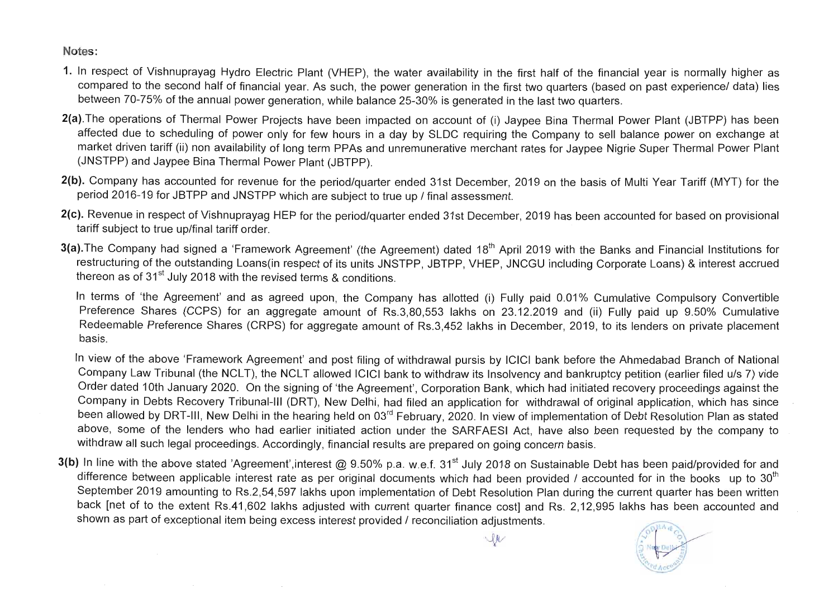Notes:

- 1. In respect of Vishnuprayag Hydro Electric Plant (VHEP), the water availability in the first half of the financial year is normally higher as compared to the second half of financial year. As such, the power generation in the first two quarters (based on past experience/ data) lies between 70-75% of the annual power generation, while balance 25-30% is generated in the last two quarters.
- 2(a). The operations of Thermal Power Projects have been impacted on account of (i) Jaypee Bina Thermal Power Plant (JBTPP) has been affected due to scheduling of power only for few hours in a day by SLDC requiring the Company to sell balance power on exchange at market driven tariff (ii) non availability of long term PPAs and unremunerative merchant rates for Jaypee Nigrie Super Thermal Power Plant (JNSTPP) and Jaypee Bina Thermal Power Plant (JBTPP).
- 2(b). Company has accounted for revenue for the period/quarter ended 31st December, 2019 on the basis of Multi Year Tariff (MYT) for the period 2016-19 for JBTPP and JNSTPP which are subject to true up / final assessment.
- 2(c). Revenue in respect of Vishnuprayag HEP for the period/quarter ended 31st December, 2019 has been accounted for based on provisional tariff subject to true up/final tariff order.
- 3(a). The Company had signed a 'Framework Agreement' (the Agreement) dated 18<sup>th</sup> April 2019 with the Banks and Financial Institutions for restructuring of the outstanding Loans(in respect of its units JNSTPP, JBTPP, VHEP, JNCGU including Corporate Loans) & interest accrued thereon as of  $31<sup>st</sup>$  July 2018 with the revised terms & conditions.

In terms of 'the Agreement' and as agreed upon, the Company has allotted (i) Fully paid 0.01% Cumulative Compulsory Convertible Preference Shares (CCPS) for an aggregate amount of Rs.3,80,553 lakhs on 23.12.2019 and (ii) Fully paid up 9.50% Cumulative Redeemable Preference Shares (CRPS) for aggregate amount of Rs.3,452 lakhs in December, 2019, to its lenders on private placement basis.

3(b) In line with the above stated 'Agreement', interest @ 9.50% p.a. w.e.f. 31<sup>st</sup> July 2018 on Sustainable Debt has been paid/provided for and difference between applicable interest rate as per original documents which had been provided / accounted for in the books up to  $30<sup>th</sup>$ September 2019 amounting to Rs.2,54,597 lakhs upon implementation of Debt Resolution Plan during the current quarter has been written back [net of to the extent Rs.41,602 lakhs adjusted with current quarter finance cost] and Rs. 2,12,995 lakhs has been accounted and shown as part of exceptional item being excess interest provided / reconciliation adjustments.

In view of the above 'Framework Agreement' and post filing of withdrawal pursis by ICICI bank before the Ahmedabad Branch of National Company Law Tribunal (the NCLT), the NCLT allowed ICICI bank to withdraw its Insolvency and bankruptcy petition (earlier filed u/s 7) vide Order dated 10th January 2020. On the signing of 'the Agreement', Corporation Bank, which had initiated recovery proceedings against the Company in Debts Recovery Tribunal-III (DRT), New Delhi, had filed an application for withdrawal of original application, which has since been allowed by DRT-III, New Delhi in the hearing held on 03<sup>rd</sup> February, 2020. In view of implementation of Debt Resolution Plan as stated above, some of the lenders who had earlier initiated action under the SARFAESI Act, have also been requested by the company to withdraw all such legal proceedings. Accordingly, financial results are prepared on going concern basis.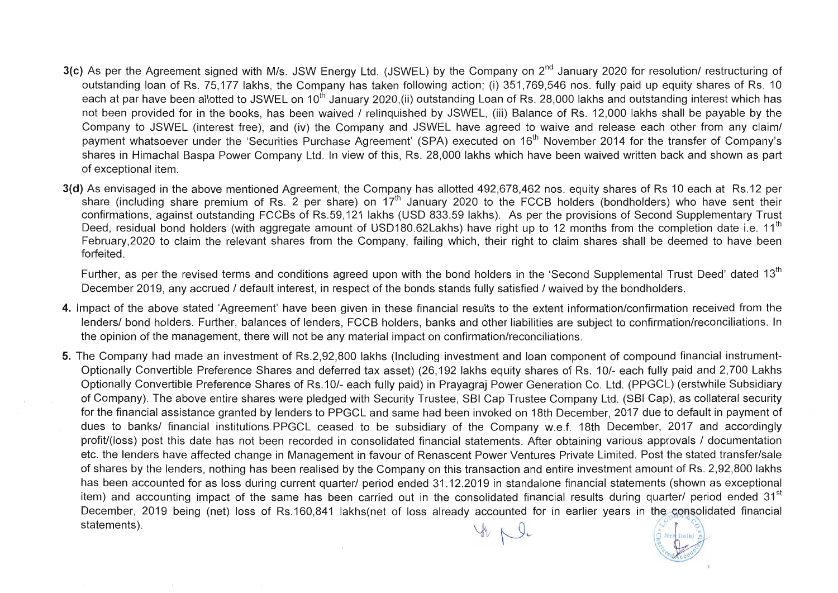- 3(c) As per the Agreement signed with M/s. JSW Energy Ltd. (JSWEL) by the Company on 2<sup>nd</sup> January 2020 for resolution/ restructuring of outstanding loan of Rs. 75,177 lakhs, the Company has taken following action; (i) 351,769,546 nos. fully paid up equity shares of Rs. 10 each at par have been allotted to JSWEL on 10<sup>th</sup> January 2020,(ii) outstanding Loan of Rs. 28,000 lakhs and outstanding interest which has not been provided for in the books, has been waived / relinquished by JSWEL, (iii) Balance of Rs. 12,000 lakhs shall be payable by the Company to JSWEL (interest free), and (iv) the Company and JSWEL have agreed to waive and release each other from any claim/ payment whatsoever under the 'Securities Purchase Agreement' (SPA) executed on 16<sup>th</sup> November 2014 for the transfer of Company's shares in Himachal Baspa Power Company Ltd. In view of this, Rs. 28,000 lakhs which have been waived written back and shown as part of exceptional item.
- 3(d) As envisaged in the above mentioned Agreement, the Company has allotted 492,678,462 nos. equity shares of Rs 10 each at Rs.12 per share (including share premium of Rs. 2 per share) on  $17<sup>th</sup>$  January 2020 to the FCCB holders (bondholders) who have sent their confirmations, against outstanding FCCBs of Rs.59,121 lakhs (USD 833.59 lakhs). As per the provisions of Second Supplementary Trust Deed, residual bond holders (with aggregate amount of USD180.62Lakhs) have right up to 12 months from the completion date i.e. 11<sup>th</sup> February,2020 to claim the relevant shares from the Company, failing which, their right to claim shares shall be deemed to have been forfeited.

Further, as per the revised terms and conditions agreed upon with the bond holders in the 'Second Supplemental Trust Deed' dated 13<sup>th</sup> December 2019, any accrued / default interest, in respect of the bonds stands fully satisfied / waived by the bondholders.

- 4. Impact of the above stated 'Agreement' have been given in these financial results to the extent information/confirmation received from the lenders/ bond holders. Further, balances of lenders, FCCB holders, banks and other liabilities are subject to confirmation/reconciliations. In the opinion of the management, there will not be any material impact on confirmation/reconciliations.
- 5. The Company had made an investment of Rs.2,92,800 lakhs (Including investment and loan component of compound financial instrument-Optionally Convertible Preference Shares and deferred tax asset) (26,192 lakhs equity shares of Rs. 10/- each fully paid and 2,700 Lakhs Optionally Convertible Preference Shares of Rs.1 0/- each fully paid) in Prayagraj Power Generation Co. Ltd. (PPGCL) (erstwhile Subsidiary of Company). The above entire shares were pledged with Security Trustee, SBI Cap Trustee Company Ltd. (SBI Cap), as collateral security for the financial assistance granted by lenders to PPGCL and same had been invoked on 18th December, 2017 due to default in payment of dues to banks/ financial institutions.PPGCL ceased to be subsidiary of the Company w.e.f. 18th December, 2017 and accordingly profit/(loss) post this date has not been recorded in consolidated financial statements. After obtaining various approvals / documentation etc. the lenders have affected change in Management in favour of Renascent Power Ventures Private Limited. Post the stated transfer/sale of shares by the lenders, nothing has been realised by the Company on this transaction and entire investment amount of Rs. 2,92,800 lakhs has been accounted for as loss during current quarter/ period ended 31.12.2019 in standalone financial statements (shown as exceptional item) and accounting impact of the same has been carried out in the consolidated financial results during quarter/ period ended 31<sup>st</sup> December, 2019 being (net) loss of Rs.160,841 lakhs(net of loss already accounted for in earlier years in the consolidated financial statements).

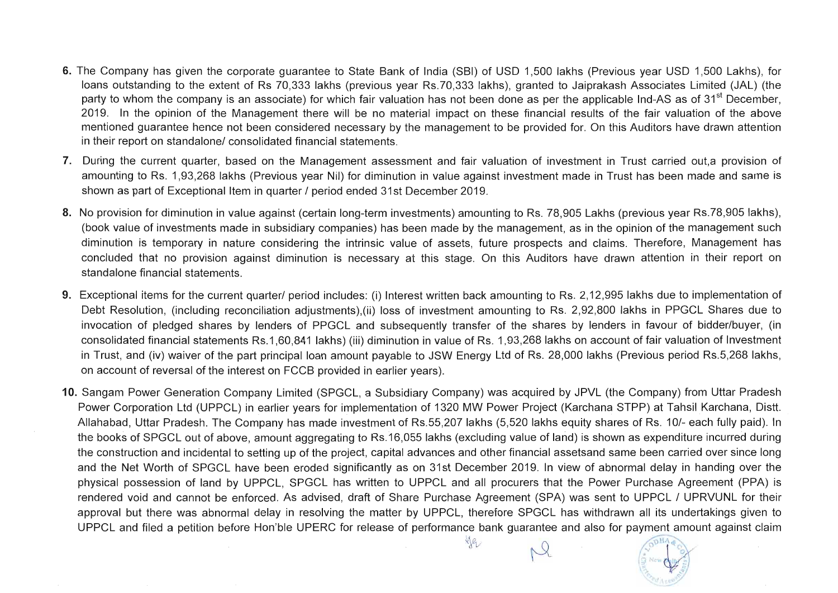- 6. The Company has given the corporate guarantee to State Bank of India (SBI) of USD 1,500 lakhs (Previous year USD 1,500 Lakhs), for loans outstanding to the extent of Rs 70,333 lakhs (previous year Rs.70,333 lakhs), granted to Jaiprakash Associates Limited (JAL) (the party to whom the company is an associate) for which fair valuation has not been done as per the applicable Ind-AS as of 31<sup>st</sup> December, 2019. In the opinion of the Management there will be no material impact on these financial results of the fair valuation of the above mentioned guarantee hence not been considered necessary by the management to be provided for. On this Auditors have drawn attention in their report on standalone/ consolidated financial statements.
- 7. During the current quarter, based on the Management assessment and fair valuation of investment in Trust carried out,a provision of amounting to Rs. 1,93,268 lakhs (Previous year Nil) for diminution in value against investment made in Trust has been made and same is shown as part of Exceptional Item in quarter / period ended 31st December 2019.
- 8. No provision for diminution in value against (certain long-term investments) amounting to Rs. 78,905 Lakhs (previous year Rs.78,905 lakhs), (book value of investments made in subsidiary companies) has been made by the management, as in the opinion of the management such diminution is temporary in nature considering the intrinsic value of assets, future prospects and claims. Therefore, Management has concluded that no provision against diminution is necessary at this stage. On this Auditors have drawn attention in their report on standalone financial statements.
- 9. Exceptional items for the current quarter/ period includes: (i) Interest written back amounting to Rs. 2,12,995 lakhs due to implementation of Debt Resolution, (including reconciliation adjustments),(ii) loss of investment amounting to Rs. 2,92,800 lakhs in PPGCL Shares due to invocation of pledged shares by lenders of PPGCL and subsequently transfer of the shares by lenders in favour of bidder/buyer, (in consolidated financial statements Rs.1 ,60,841 lakhs) (iii) diminution in value of Rs. 1,93,268 lakhs on account of fair valuation of Investment in Trust, and (iv) waiver of the part principal loan amount payable to JSW Energy Ltd of Rs. 28,000 lakhs (Previous period Rs.5,268 lakhs, on account of reversal of the interest on FCCB provided in earlier years).
- 10. Sangam Power Generation Company Limited (SPGCL, a Subsidiary Company) was acquired by JPVL (the Company) from Uttar Pradesh Power Corporation Ltd (UPPCL) in earlier years for implementation of 1320 MW Power Project (Karchana STPP) at Tahsil Karchana, Distt. Allahabad, Uttar Pradesh. The Company has made investment of Rs.55,207 lakhs (5,520 lakhs equity shares of Rs. 10/- each fully paid). In the books of SPGCL out of above, amount aggregating to Rs. 16,055 lakhs (excluding value of land) is shown as expenditure incurred during the construction and incidental to setting up of the project, capital advances and other financial assetsand same been carried over since long and the Net Worth of SPGCL have been eroded significantly as on 31st December 2019. In view of abnormal delay in handing over the physical possession of land by UPPCL, SPGCL has written to UPPCL and all procurers that the Power Purchase Agreement (PPA) is rendered void and cannot be enforced. As advised, draft of Share Purchase Agreement (SPA) was sent to UPPCL / UPRVUNL for their approval but there was abnormal delay in resolving the matter by UPPCL, therefore SPGCL has withdrawn all its undertakings given to UPPCL and filed a petition before Hon'ble UPERC for release of performance bank guarantee and also for payment amount against claim

ye2

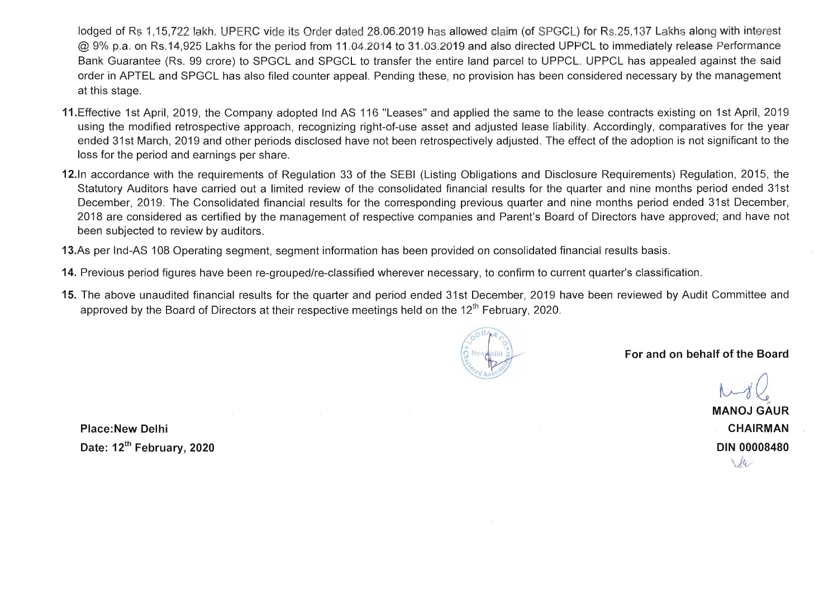lodged of Rs 1,15,722 lakh. UPERC vide its Order dated 28.06.2019 has allowed claim (of SPGCL) for Rs.25, 137 Lakhs along with interest @ 9% p.a. on Rs.14,925 Lakhs for the period from 11.04.2014 to 31.03.2019 and also directed UPPCL to immediately release Performance Bank Guarantee (Rs. 99 crore) to SPGCL and SPGCL to transfer the entire land parcel to UPPCL. UPPCL has appealed against the said order in APTEL and SPGCL has also filed counter appeal. Pending these, no provision has been considered necessary by the management at this stage.

- 11. Effective 1st April, 2019, the Company adopted Ind AS 116 "Leases" and applied the same to the lease contracts existing on 1st April, 2019 using the modified retrospective approach, recognizing right-of-use asset and adjusted lease liability. Accordingly, comparatives for the year ended 31st March, 2019 and other periods disclosed have not been retrospectively adjusted. The effect of the adoption is not significant to the loss for the period and earnings per share.
- 12.ln accordance with the requirements of Regulation 33 of the SEBI (Listing Obligations and Disclosure Requirements) Regulation, 2015, the Statutory Auditors have carried out a limited review of the consolidated financial results for the quarter and nine months period ended 31st December, 2019. The Consolidated financial results for the corresponding previous quarter and nine months period ended 31st December, 2018 are considered as certified by the management of respective companies and Parent's Board of Directors have approved; and have not been subjected to review by auditors.
- 13.As per Ind-AS 108 Operating segment, segment information has been provided on consolidated financial results basis.
- 14. Previous period figures have been re-grouped/re-classified wherever necessary, to confirm to current quarter's classification.
- 15. The above unaudited financial results for the quarter and period ended 31st December, 2019 have been reviewed by Audit Committee and approved by the Board of Directors at their respective meetings held on the  $12<sup>th</sup>$  February, 2020.



Place: New Delhi Date: 12<sup>th</sup> February, 2020

MANOJ GAUR CHAIRMAN DIN 00008480  $\sqrt{4}$ 

For and on behalf of the Board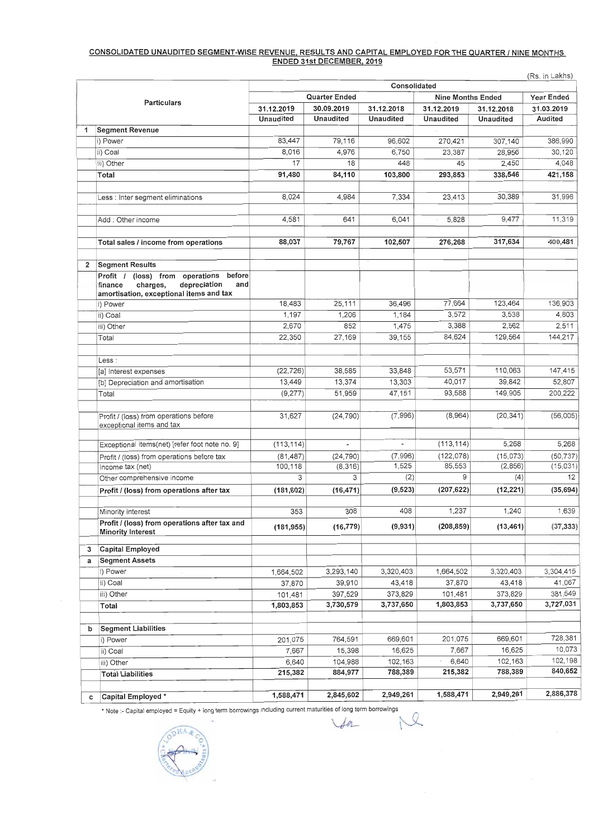# **CONSOLIDATED UNAUDITED SEGMENT-WISE REVENUE, RESULTS AND CAPITAL EMPLOYED FOR THE QUARTER I NINE MONTHS ENDED 31st DECEMBER. 2019**

|   |                                                                                                                                       | Consolidated     |                          |                          |                          |                  |                      |  |  |  |
|---|---------------------------------------------------------------------------------------------------------------------------------------|------------------|--------------------------|--------------------------|--------------------------|------------------|----------------------|--|--|--|
|   |                                                                                                                                       |                  | <b>Quarter Ended</b>     |                          | <b>Nine Months Ended</b> |                  |                      |  |  |  |
|   | <b>Particulars</b>                                                                                                                    | 31.12.2019       | 30.09.2019               | 31.12.2018               | 31.12.2019               | 31.12.2018       | 31.03.2019           |  |  |  |
|   |                                                                                                                                       | <b>Unaudited</b> | <b>Unaudited</b>         | <b>Unaudited</b>         | <b>Unaudited</b>         | <b>Unaudited</b> | <b>Audited</b>       |  |  |  |
|   | <b>Segment Revenue</b>                                                                                                                |                  |                          |                          |                          |                  |                      |  |  |  |
|   | i) Power                                                                                                                              | 83,447           | 79,116                   | 96,602                   | 270,421                  | 307,140          | 386,990              |  |  |  |
|   | ii) Coal                                                                                                                              | 8,016            | 4,976                    | 6,750                    | 23,387                   | 28,956           | 30,120               |  |  |  |
|   | iii) Other                                                                                                                            | 17               | 18                       | 448                      | 45                       | 2,450            | 4,048                |  |  |  |
|   | Total                                                                                                                                 | 91,480           | 84,110                   | 103,800                  | 293,853                  | 338,546          | 421,158              |  |  |  |
|   |                                                                                                                                       |                  |                          |                          |                          |                  |                      |  |  |  |
|   | Less : Inter segment eliminations                                                                                                     | 8,024            | 4,984                    | 7,334                    | 23,413                   | 30,389           | 31,996               |  |  |  |
|   | Add: Other income                                                                                                                     | 4,581            | 641                      | 6,041                    | 5,828                    | 9,477            | 11,319               |  |  |  |
|   |                                                                                                                                       |                  |                          |                          |                          |                  |                      |  |  |  |
|   | Total sales / income from operations                                                                                                  | 88,037           | 79,767                   | 102,507                  | 276,268                  | 317,634          | 400,481              |  |  |  |
| 2 | <b>Segment Results</b>                                                                                                                |                  |                          |                          |                          |                  |                      |  |  |  |
|   | (loss) from operations<br>before<br>Profit /<br>charges,<br>depreciation<br>and<br>finance<br>amortisation, exceptional items and tax |                  |                          |                          |                          |                  |                      |  |  |  |
|   | i) Power                                                                                                                              | 18,483           | 25,111                   | 36,496                   | 77,664                   | 123,464          | 136,903              |  |  |  |
|   | ii) Coal                                                                                                                              | 1,197            | 1,206                    | 1,184                    | 3,572                    | 3,538            | 4,803                |  |  |  |
|   | iii) Other                                                                                                                            | 2,670            | 852                      | 1,475                    | 3,388                    | 2,562            | 2,511                |  |  |  |
|   | Total                                                                                                                                 | 22,350           | 27,169                   | 39,155                   | 84,624                   | 129,564          | 144,217              |  |  |  |
|   |                                                                                                                                       |                  |                          |                          |                          |                  |                      |  |  |  |
|   | Less:<br>[a] Interest expenses                                                                                                        | (22, 726)        | 38,585                   | 33,848                   | 53,571                   | 110,063          | 147,415              |  |  |  |
|   | [b] Depreciation and amortisation                                                                                                     | 13,449           | 13,374                   | 13,303                   | 40,017                   | 39,842           | 52,807               |  |  |  |
|   | Total                                                                                                                                 | (9,277)          | 51,959                   | 47,151                   | 93,588                   | 149,905          | 200,222              |  |  |  |
|   |                                                                                                                                       |                  |                          |                          |                          |                  |                      |  |  |  |
|   | Profit / (loss) from operations before<br>exceptional items and tax                                                                   | 31,627           | (24, 790)                | (7,996)                  | (8,964)                  | (20, 341)        | (56,005)             |  |  |  |
|   | Exceptional items(net) [refer foot note no. 9]                                                                                        | (113, 114)       | $\overline{\phantom{0}}$ | $\overline{\phantom{a}}$ | (113, 114)               | 5,268            | 5,268                |  |  |  |
|   | Profit / (loss) from operations before tax                                                                                            | (81, 487)        | (24, 790)                | (7,996)                  | (122, 078)               | (15,073)         | (50, 737)            |  |  |  |
|   | Income tax (net)                                                                                                                      | 100,118          | (8,316)                  | 1,525                    | 85,553                   | (2,856)          | (15,031)             |  |  |  |
|   | Other comprehensive income                                                                                                            | 3                | 3                        | (2)                      | 9                        | (4)              | 12                   |  |  |  |
|   | Profit / (loss) from operations after tax                                                                                             | (181, 602)       | (16, 471)                | (9, 523)                 | (207, 622)               | (12, 221)        | (35, 694)            |  |  |  |
|   | Minority interest                                                                                                                     | 353              | 308                      | 408                      | 1,237                    | 1,240            | 1,639                |  |  |  |
|   | Profit / (loss) from operations after tax and                                                                                         | (181, 955)       | (16, 779)                | (9, 931)                 | (208, 859)               | (13, 461)        | (37, 333)            |  |  |  |
|   | <b>Minority Interest</b>                                                                                                              |                  |                          |                          |                          |                  |                      |  |  |  |
| 3 | <b>Capital Employed</b>                                                                                                               |                  |                          |                          |                          |                  |                      |  |  |  |
| a | <b>Segment Assets</b>                                                                                                                 |                  |                          |                          |                          |                  |                      |  |  |  |
|   | i) Power                                                                                                                              | 1,664,502        | 3,293,140                | 3,320,403                | 1,664,502                | 3,320,403        | 3,304,415            |  |  |  |
|   | ii) Coal                                                                                                                              | 37,870           | 39,910                   | 43,418                   | 37,870                   | 43,418           | 41,067               |  |  |  |
|   | iii) Other                                                                                                                            | 101,481          | 397,529                  | 373,829                  | 101,481                  | 373,829          | 381,549<br>3,727,031 |  |  |  |
|   | Total                                                                                                                                 | 1,803,853        | 3,730,579                | 3,737,650                | 1,803,853                | 3,737,650        |                      |  |  |  |
| b | <b>Segment Liabilities</b>                                                                                                            |                  |                          |                          |                          |                  |                      |  |  |  |
|   | i) Power                                                                                                                              | 201,075          | 764,591                  | 669,601                  | 201,075                  | 669,601          | 728,381              |  |  |  |
|   | ii) Coal                                                                                                                              | 7,667            | 15,398                   | 16,625                   | 7,667                    | 16,625           | 10,073               |  |  |  |
|   | iii) Other                                                                                                                            | 6,640            | 104,988                  | 102,163                  | 6,640                    | 102,163          | 102,198              |  |  |  |
|   | <b>Total Liabilities</b>                                                                                                              | 215,382          | 884,977                  | 788,389                  | 215,382                  | 788,389          | 840,652              |  |  |  |
|   |                                                                                                                                       | 1,588,471        | 2,845,602                | 2,949,261                | 1,588,471                | 2,949,261        | 2,886,378            |  |  |  |
| C | Capital Employed *                                                                                                                    |                  |                          |                          |                          |                  |                      |  |  |  |

Note :- Capital employed = Equity + long term borrowings including current maturities of long term borrowings

pHA.

 $\sim$ 

 $\sim$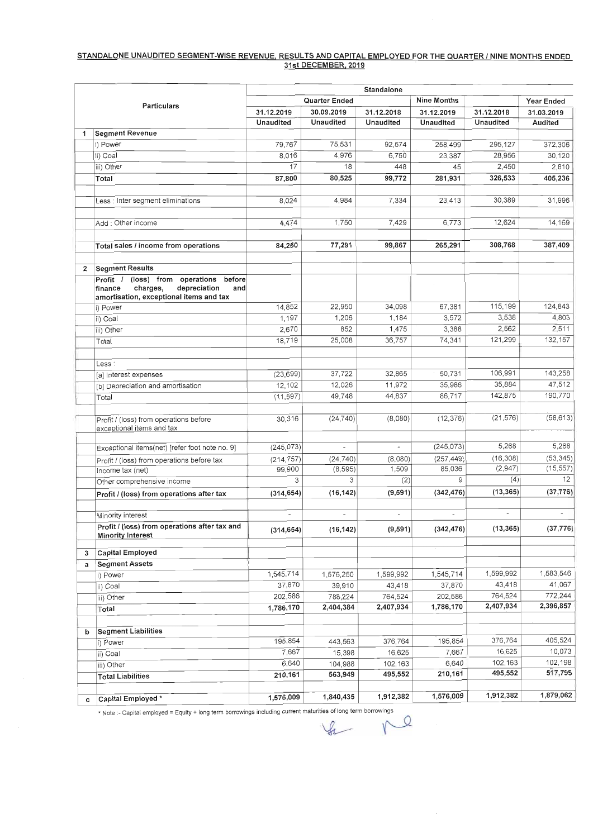# **STANDALONE UNAUDITED SEGMENT -WISE REVENUE, RESULTS AND CAPITAL EMPLOYED FOR THE QUARTER I NINE MONTHS ENDED 31st DECEMBER. 201 9**

 $\bar{z}$ 

|                    |                                                                                                                                          | Standalone               |                          |                          |                          |                  |                          |  |  |  |  |
|--------------------|------------------------------------------------------------------------------------------------------------------------------------------|--------------------------|--------------------------|--------------------------|--------------------------|------------------|--------------------------|--|--|--|--|
| <b>Particulars</b> |                                                                                                                                          |                          | <b>Quarter Ended</b>     | <b>Nine Months</b>       | Year Ended               |                  |                          |  |  |  |  |
|                    |                                                                                                                                          | 31.12.2019               | 30.09.2019               | 31.12.2018               | 31.12.2019               | 31.12.2018       | 31.03.2019               |  |  |  |  |
|                    |                                                                                                                                          | <b>Unaudited</b>         | <b>Unaudited</b>         | <b>Unaudited</b>         | <b>Unaudited</b>         | <b>Unaudited</b> | <b>Audited</b>           |  |  |  |  |
| 1                  | <b>Segment Revenue</b>                                                                                                                   |                          |                          |                          |                          |                  |                          |  |  |  |  |
|                    | i) Power                                                                                                                                 | 79,767                   | 75,531                   | 92,574                   | 258,499                  | 295,127          | 372,306                  |  |  |  |  |
|                    | ii) Coal                                                                                                                                 | 8,016                    | 4,976                    | 6,750                    | 23,387                   | 28,956           | 30,120                   |  |  |  |  |
|                    | iii) Other                                                                                                                               | 17                       | 18                       | 448                      | 45                       | 2,450            | 2,810                    |  |  |  |  |
|                    | Total                                                                                                                                    | 87,800                   | 80,525                   | 99,772                   | 281,931                  | 326,533          | 405,236                  |  |  |  |  |
|                    |                                                                                                                                          |                          |                          | 7,334                    | 23,413                   | 30,389           | 31,996                   |  |  |  |  |
|                    | ess : Inter segment eliminations                                                                                                         | 8,024                    | 4,984                    |                          |                          |                  |                          |  |  |  |  |
|                    | Add: Other income                                                                                                                        | 4,474                    | 1,750                    | 7,429                    | 6,773                    | 12,624           | 14,169                   |  |  |  |  |
|                    | Total sales / income from operations                                                                                                     | 84,250                   | 77,291                   | 99,867                   | 265,291                  | 308,768          | 387,409                  |  |  |  |  |
|                    |                                                                                                                                          |                          |                          |                          |                          |                  |                          |  |  |  |  |
| $\mathbf{2}$       | <b>Segment Results</b>                                                                                                                   |                          |                          |                          |                          |                  |                          |  |  |  |  |
|                    | before<br>(loss) from<br>operations<br>Profit /<br>depreciation<br>charges,<br>and<br>finance<br>amortisation, exceptional items and tax |                          |                          |                          |                          |                  |                          |  |  |  |  |
|                    | i) Power                                                                                                                                 | 14,852                   | 22,950                   | 34,098                   | 67,381                   | 115,199          | 124,843                  |  |  |  |  |
|                    | ii) Coal                                                                                                                                 | 1,197                    | 1,206                    | 1,184                    | 3,572                    | 3,538            | 4,803                    |  |  |  |  |
|                    | iii) Other                                                                                                                               | 2,670                    | 852                      | 1,475                    | 3,388                    | 2,562            | 2,511                    |  |  |  |  |
|                    | Total                                                                                                                                    | 18,719                   | 25,008                   | 36,757                   | 74,341                   | 121,299          | 132,157                  |  |  |  |  |
|                    |                                                                                                                                          |                          |                          |                          |                          |                  |                          |  |  |  |  |
|                    | Less :                                                                                                                                   | (23, 699)                | 37,722                   | 32,865                   | 50,731                   | 106,991          | 143,258                  |  |  |  |  |
|                    | [a] Interest expenses<br>[b] Depreciation and amortisation                                                                               | 12,102                   | 12,026                   | 11,972                   | 35,986                   | 35,884           | 47,512                   |  |  |  |  |
|                    | Total                                                                                                                                    | (11, 597)                | 49,748                   | 44,837                   | 86,717                   | 142,875          | 190,770                  |  |  |  |  |
|                    |                                                                                                                                          |                          |                          |                          |                          |                  |                          |  |  |  |  |
|                    | Profit / (loss) from operations before<br>exceptional items and tax                                                                      | 30,316                   | (24, 740)                | (8,080)                  | (12, 376)                | (21, 576)        | (58, 613)                |  |  |  |  |
|                    | Exceptional items(net) [refer foot note no. 9]                                                                                           | (245, 073)               | $\overline{\phantom{0}}$ | $\overline{a}$           | (245, 073)               | 5,268            | 5,268                    |  |  |  |  |
|                    | Profit / (loss) from operations before tax                                                                                               | (214, 757)               | (24, 740)                | (8,080)                  | (257, 449)               | (16, 308)        | (53, 345)                |  |  |  |  |
|                    | Income tax (net)                                                                                                                         | 99,900                   | (8, 595)                 | 1,509                    | 85,036                   | (2,947)          | (15, 557)                |  |  |  |  |
|                    | Other comprehensive income                                                                                                               | 3                        | 3                        | (2)                      | 9                        | (4)              | 12                       |  |  |  |  |
|                    | Profit / (loss) from operations after tax                                                                                                | (314, 654)               | (16, 142)                | (9,591)                  | (342, 476)               | (13, 365)        | (37, 776)                |  |  |  |  |
|                    | Minority interest                                                                                                                        | $\overline{\phantom{a}}$ | $\overline{\phantom{a}}$ | $\overline{\phantom{a}}$ | $\overline{\phantom{a}}$ | $\blacksquare$   | $\overline{\phantom{a}}$ |  |  |  |  |
|                    | Profit / (loss) from operations after tax and                                                                                            |                          |                          |                          | (342, 476)               | (13, 365)        | (37, 776)                |  |  |  |  |
|                    | <b>Minority Interest</b>                                                                                                                 | (314, 654)               | (16, 142)                | (9,591)                  |                          |                  |                          |  |  |  |  |
| 3                  | <b>Capital Employed</b>                                                                                                                  |                          |                          |                          |                          |                  |                          |  |  |  |  |
| a                  | <b>Segment Assets</b>                                                                                                                    |                          |                          |                          |                          |                  |                          |  |  |  |  |
|                    | i) Power                                                                                                                                 | 1,545,714                | 1,576,250                | 1,599,992                | 1,545,714                | 1,599,992        | 1,583,546                |  |  |  |  |
|                    | ii) Coal                                                                                                                                 | 37,870                   | 39,910                   | 43,418                   | 37,870                   | 43,418           | 41,067                   |  |  |  |  |
|                    | iii) Other                                                                                                                               | 202,586                  | 788,224                  | 764,524                  | 202,586                  | 764,524          | 772,244                  |  |  |  |  |
|                    | Total                                                                                                                                    | 1,786,170                | 2,404,384                | 2,407,934                | 1,786,170                | 2,407,934        | 2,396,857                |  |  |  |  |
| b                  | <b>Segment Liabilities</b>                                                                                                               |                          |                          |                          |                          |                  |                          |  |  |  |  |
|                    | i) Power                                                                                                                                 | 195,854                  | 443,563                  | 376,764                  | 195,854                  | 376,764          | 405,524                  |  |  |  |  |
|                    | ii) Coal                                                                                                                                 | 7,667                    | 15,398                   | 16,625                   | 7,667                    | 16,625           | 10,073                   |  |  |  |  |
|                    | iii) Other                                                                                                                               | 6,640                    | 104,988                  | 102,163                  | 6,640                    | 102,163          | 102,198                  |  |  |  |  |
|                    | <b>Total Liabilities</b>                                                                                                                 | 210,161                  | 563,949                  | 495,552                  | 210,161                  | 495,552          | 517,795                  |  |  |  |  |
|                    |                                                                                                                                          | 1,576,009                | 1,840,435                | 1,912,382                | 1,576,009                | 1,912,382        | 1,879,062                |  |  |  |  |
| C                  | Capital Employed *                                                                                                                       |                          |                          |                          |                          |                  |                          |  |  |  |  |

\* Note :- Capital employed = Equity + long term borrowings including current maturities of long term borrowings<br>  $\bigotimes$ 

 $\sim 10^{-11}$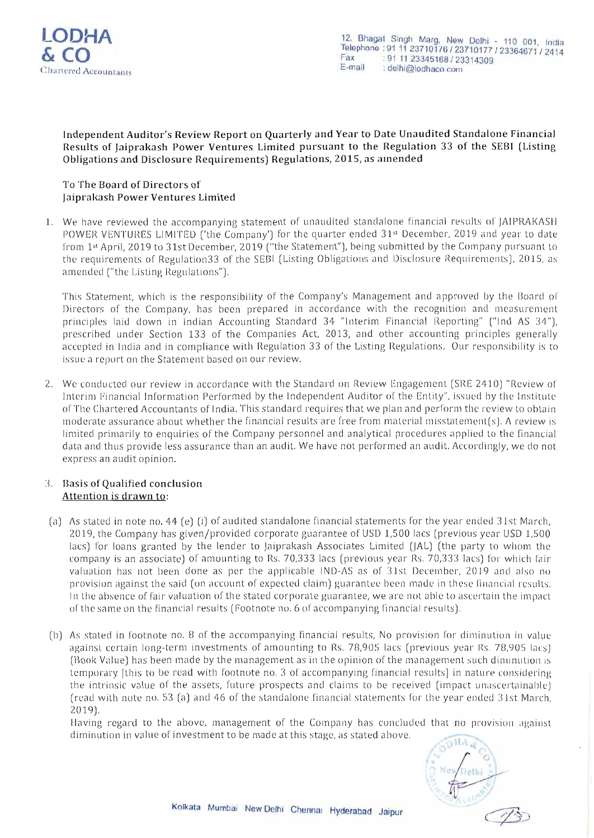

### Independent Auditor's Review Report on Quarterly and Year to Date Unaudited Standalone Financia l Results of Jaiprakash Power Ventures Limited pursuant to the Regulation 33 of the SEBI (Listing Obligations and Disclosure Requirements) Regulations, 2015, as amended

### To The Board of Directors of Jaiprakash Power Ventures Limited

1. We have reviewed the accompanying statement of unaudited standalone financial results of JAIPRAKASH POWER VENTURES LIMITED ('the Company') for the quarter ended 31st December, 2019 and year to date from 1st April, 2019 to 31st December, 2019 ("the Statement"), being submitted by the Company pursuant to the requirements of Regulation 33 of the SEBI (Listing Obligations and Disclosure Requirements), 2015, as amended ("the Listing Regulations").

This Statement, which is the responsibility of the Company's Management and approved by the Board of Directors of the Company, has been prepared in accordance with the recognition and measurement principles laid down in Indian Accounting Standard 34 "Interim Financial Reporting" ("Ind AS 34"), prescribed under Section 133 of the Companies Act, 2013, and other accounting principles generally accepted in India and in compliance with Regulation 33 of the Listing Regulations. Our responsibility is to issue a report on the Statement based on our review.

2. We conducted our review in accordance with the Standard on Review Engagement (SRE 2410) "Review of Interim Financial Information Performed by the Independent Auditor of the Entity", issued by the Institute of The Chartered Accountants of India. This standard requires that we plan and perform the review to obtain moderate assurance about whether the financial results are free from material misstatement(s). A review is limited primarily to enquiries of the Company personnel and analytical procedures applied to the financial data and thus provide less assurance than an audit. We have not performed an audit. Accordingly, we do not ex press an audit opinion.

#### 3. Basis of Qualified conclusion Attention is drawn to:

- (a) As stated in note no. 44 (e) (i) of audited standalone financial statements for the year ended 31st March, 2019, the Company has given/provided corporate guarantee of USD 1.500 lacs (previous year USD 1.500 lacs) for loans granted by the lender to Jaiprakash Associates Limited (JAL) (the party to whom the company is an associate) of amounting to Rs. 70,333 lacs (previous year Rs. 70,333 lacs) for which fair valuation has not been done as per the applicable IND-AS as of 31st December, 2019 and also no provision against the said (on account of expected claim) guarantee been made in these financial results. In the absence of fair valuation of the stated corporate guarantee, we are not able to ascertain the impact of the same on the financial results (Footnote no. 6 of accompanying financial results).
- (b) As stated in footnote no. 8 of the accompanying financial results, No provision for diminution in value against certain long-term investments of amounting to Rs. 78,905 lacs (previous year Rs. 78,905 lacs) (Book Value) has been made by the management as in the opinion of the management such diminution is temporary [this to be read with footnote no. 3 of accompanying financial results] in nature considering the intrinsic value of the assets, future prospects and claims to be received (impact unascertainable) (read with note no. 53 (a) and 46 of the standalone financial statements for the year ended 31st March, 2019).

Having regard to the above, management of the Company has concluded that  $\overline{m}$  provision against diminution in value of investment to be made at this stage, as stated above.

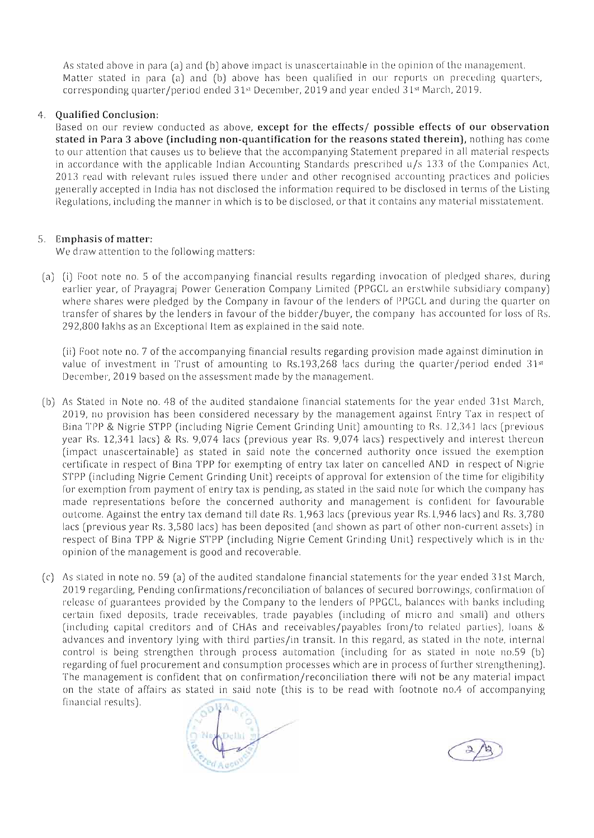As stated above in para (a) and (b) above impact is unascertainable in the opinion of the management. Matter stated in para (a) and (b) above has been qualified in our reports on preceding quarters, corresponding quarter/period ended 31st December, 2019 and year ended 31st March, 2019.

#### 4. **Qualified Conclusion:**

Based on our review conducted as above, **except for the effects/ possible effects of our observation stated in Para 3 above (including non-quantification for the reasons stated therein),** nothing has come to our attention that causes us to believe that the accompanying Statement prepared in all material respects in accordance with the applicable Indian Accounting Standards prescribed  $u/s$  133 of the Companies Act, 2013 read with relevant rules issued there under and other recognised accounting practices and policies generally accepted in India has not disclosed the information required to be disclosed in terms of the Listing Regulations, including the manner in which is to be disclosed, or that it contains any material misstatement.

# 5. **Emphasis** of matter:

We draw attention to the following matters:

(a) (i) Foot note no. 5 of the accompanying financial results regarding invocation of pledged shares, during earlier year, of Prayagraj Power Generation Company Limited (PPGCL an erstwhile subsidiary company) where shares were pledged by the Company in favour of the lenders of PPGCL and during the quarter on transfer of shares by the lenders in favour of the bidder/buyer, the company has accounted for loss of Rs. 292,800 lakhs as an Exceptional Item as explained in the said note.

(ii) Foot note no. 7 of the accompanying financial results regarding provision made against diminution in value of investment in Trust of amounting to Rs.193,268 lacs during the quarter/period ended  $31<sup>st</sup>$ December, 2019 based on the assessment made by the management.

- (b) As Stated in Note no. 48 of the audited standalone financial statements for the year ended 31st March, 2019, no provision has been considered necessary by the management against Entry Tax in respect of Bina TPP & Nigrie STPP (including Nigrie Cement Grinding Unit) amounting to Rs. 12,341 lacs (previous year Rs. 12,341 lacs) & Rs. 9,074 lacs (previous year Rs. 9,074 lacs) respectively and interest thereon (impact unascertainable) as stated in said note the concerned authority once issued the exemption certificate in respect of Bina TPP for exempting of entry tax later on cancelled AND in respect of Nigrie STPP (including Nigrie Cement Grinding Unit) receipts of approval for extension of the time for cligibility for exemption from payment of entry tax is pending, as stated in the said note for which the company has made representations before the concerned authority and management is confident for favourable outcome. Against the entry tax demand till date Rs. 1,963 lacs (previous year Rs.1 ,946 lacs) and Rs. 3,78 0 lacs (previous year Rs. 3,580 lacs) has been deposited (and shown as part of other non-current assets) in respect of Bina TPP & Nigrie STPP (including Nigrie Cement Grinding Unit) respectively which is in the opinion of the management is good and recoverable.
- (c) As stated in note no. 59 (a) of the audited standalone financial statements for the year ended 31st March, 2019 regarding, Pending confirmations/reconciliation of balances of secured borrowings, confirmation of release of guarantees provided by the Company to the lenders of PPGCL, balances with banks including certain fixed deposits, trade receivables, trade payables (including of micro and small) and others (including capital creditors and of CHAs and receivables/payables from/to related parties), loans  $\&$ advances and inventory lying with third parties/in transit. In this regard, as stated in the note, internal control is being strengthen through process automation (including for as stated in note no.59 (b) regarding of fuel procurement and consumption processes which are in process of further strengthening). The management is confident that on confirmation/reconciliation there will not be any material impact on the state of affairs as stated in said note (this is to be read with footnote no.4 of accompanying financial results).



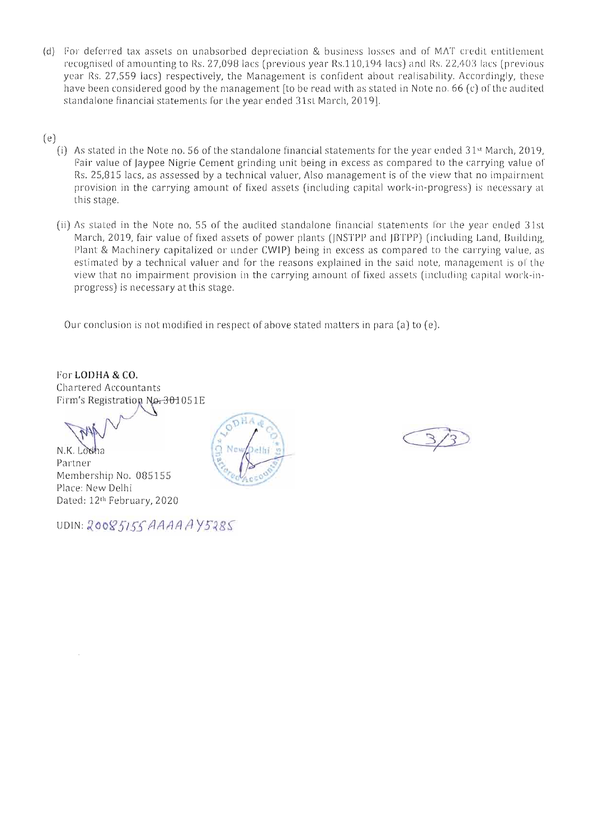- (d) For deferred tax assets on unabsorbed depreciation & business losses and of MAT credit entitlement recognised of amounting to Rs. 27,098 lacs (previous year Rs.110,194 lacs) and Rs. 22,403 lacs (previous year Rs. 27,559 lacs) respectively, the Management is confident about realisability. Accordingly, these have been considered good by the management [to be read with as stated in Note no. 66 (c) of the audited standalone financial statements for the year ended 31st March, 2019].
- (e)
	- (i) As stated in the Note no. 56 of the standalone financial statements for the year ended  $31<sup>st</sup>$  March, 2019, Fair value of Jaypee Nigrie Cement grinding unit being in excess as compared to the carrying value of Rs. 25,815 lacs, as assessed by a technical valuer, Also management is of the view that no impairment provision in the carrying amount of fixed assets (including capital work-in-progress) is necessary at this stage.
	- (ii) As stated in the Note no. 55 of the audited standalone financial statements for the year ended 31st March, 2019, fair value of fixed assets of power plants (JNSTPP and JBTPP) (including Land, Building, Plant & Machinery capitalized or under CWIP) being in excess as compared to the carrying value, as estimated by a technical valuer and for the reasons explained in the said note, management is of the view that no impairment provision in the carrying amount of fixed assets (including capital work-inprogress) is necessary at this stage.

Our conclusion is not modified in respect of above stated matters in para (a) to (e).

For **LODHA & CO.**  Chartered Accountants Firm's Registration No. 301051E

N.K. Lodha Partn er Membership No. 085155 Place: New Delhi Dated: 12lh February, 2020



UDIN: 20085155 AAAA AY5285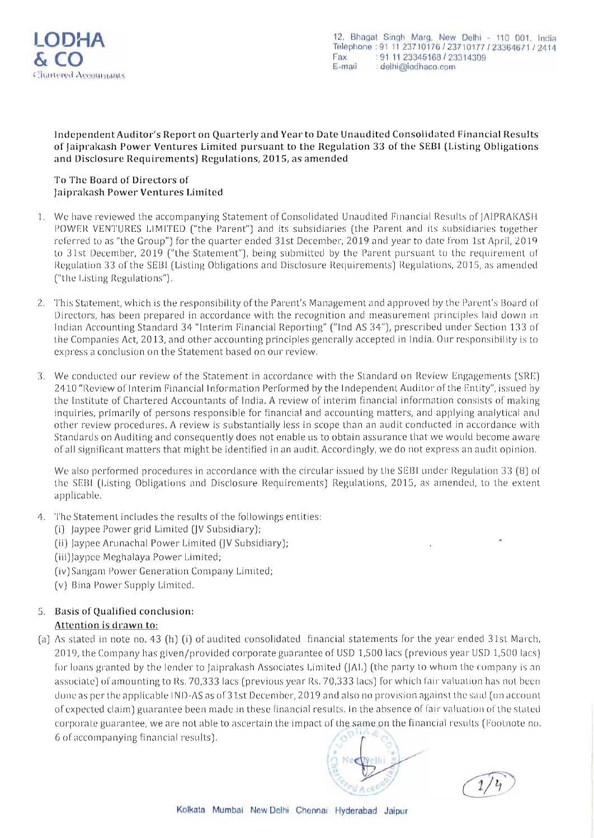

Independent Auditor's Report on Quarterly and Year to Date Unaudited Consolidated Financial Results of Jaiprakash Power Ventures Limited pursuant to the Regulation 33 of the SEBI (Listing Obligations and Disclosure Requirements) Regulations, 2015, as amended

#### To The Board of Directors of Jaiprakash Power Ventures Limited

- 1. We have reviewed the accompanying Statement of Consolidated Unaudited Financial Results of JAIPRAKASH POWER VENTURES LIMITED ("the Parent") and its subsidiaries (the Parent and its subsidiaries together referred to as "the Group") for the quarter ended 31st December, 2019 and year to date from 1st April, 2019 to 31st December, 2019 ("the Statement"), being submitted by the Parent pursuant to the requirement of Regulation 33 of the SEB1 (Listing Obligations and Disclosure Requirements) Regulations, 2015, as amended ("the Listing Regulations").
- 2. This Statement, which is the responsibility of the Parent's Management and approved by the Parent's Board of Directors, has been prepared in accordance with the recognition and measurement principles laid down in Indian Accounting Standard 34 "Interim Financial Reporting" (" Ind AS 34"), prescribed und er Section 133 of the Companies Act, 2013, and other accounting principles generally accepted in India. Our responsibility is to express a conclusion on the Statement based on our review.
- 3. We conducted our review of the Statement in accordance with the Standard on Review Engagements (SRE) 2410 "Review of Interim Financia l Information Performed by the Independent Auditor of the Entity" , issued by the Institute of Chartered Accountants of India. A review of interim financial information consists of making inquiries, primarily of persons responsible for financial and accounting matters, and applying analytical and other review procedures. A review is substantially less in scope than an audit conducted in accordance with Standards on Auditing and consequently does not enable us to obtain assurance that we would become aware of all significant matters that might be identified in an audit. Accordingly, we do not exp ress an audit opinion .

We also performed procedures in accordance with the circular issued by the SEBI under Regulation 33 (8) of the SEB1 (Listing Obligations and Disclosure Requirements) Regulations, 2015, as amended, to the extent applicable.

- 4. The Statement includes the results of the followings entities:
	- (i) Jaypee Power grid Limited (JV Subsidiary);
	- (ii) Jaypee Arunachal Power Limited (JV Subsidiary);
	- (iii) Jaypee Meghalaya Power Limited;
	- (iv)Sangam Power Generation Company Limited;
	- (v) Bina Power Supply Limited,

# 5, Basis of Qualified conclusion:

# Attention is drawn to:

(a) As stated in note no, 43 (h) (i) of audited consolidated financial statements for the year ended 31st March, 2019, the Company has given/provided corporate guarantee of USD 1,500 lacs (previous year USD 1,500 lacs) for loans granted by the lender to jaiprakash Associates Limited (JAL) (the party to whom the company is an associate) ofamounting to Rs, 70,333 lacs (previous year Rs, 70,333 lacs) for which fair valuation has not been done as per the applicable IND-AS as of 31st December, 2019 and also no provision against the said (on account of expected claim) guarantee been made in these financial results, In the absence of fair valuation of the sta ted corporate guarantee, we are not able to ascertain the impact of the same on the financial results (Footnote no,  $6$  of accompanying financial results).

'-/ <sup>~</sup> 9Nf>' c1 ~ "~ *'co/,* ~ 'V~ *C'(, A* c:;Q

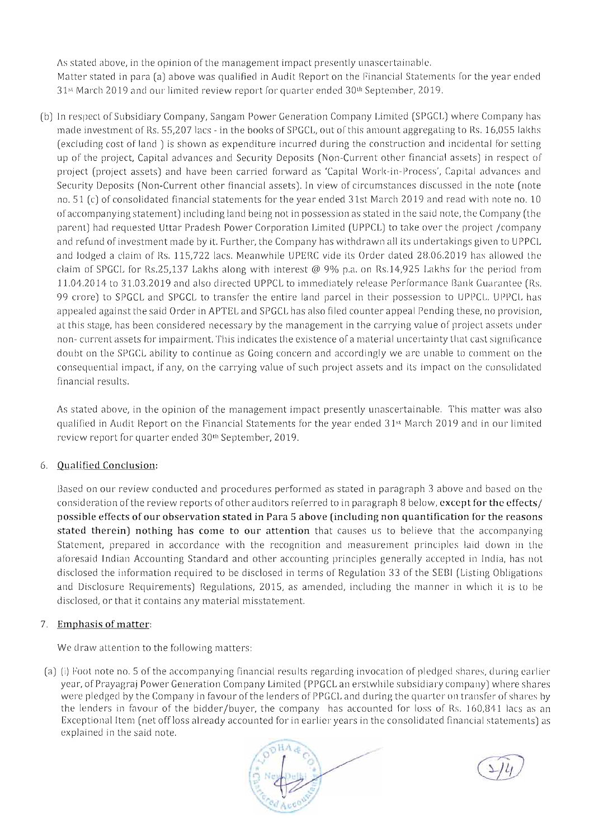As stated above, in the opinion of the management impact presently unascertainable. Matter stated in para (a) above was qualified in Audit Report on the Financial Statements for the year ended  $31<sup>st</sup>$  March 2019 and our limited review report for quarter ended  $30<sup>th</sup>$  September, 2019.

(b) In respect of Subsidiary Company, Sangam Power Generation Company Limited (SPGCL) where Company has made investment of Rs. 55,207 lacs - in the books of SPGCL, out of this amount aggregating to Rs. 16,055 lakhs (excluding cost of land) is shown as expenditure incurred during the construction and incidental for setting up of the project, Capital advances and Security Deposits (Non-Current other financial assets) in respect of project (project assets) and have been carried forward as 'Capital Work-in-Process', Capital advances and Security Deposits (Non-Current other financial assets). In view of circumstances discussed in the note (note no.  $51$  (c) of consolidated financial statements for the year ended 31st March 2019 and read with note no. 10 of accompanying statement) including land being not in possession as stated in the said note, the Company (the parent) had requested Uttar Pradesh Power Corporation Limited (UPPCL) to take over the project /company and refund of investment made by it. Further, the Company has withdrawn all its undertakings given to UPPCL and lodged a claim of Rs. 115,722 lacs. Meanwhile UPERC vide its Order dated 28.06.2019 has allowed the claim of SPGCL for Rs.25,137 Lakhs along with interest @ 9% p.a. on Rs.14,925 Lakhs for the period from 11.04.2014 to 31.03.2019 and also directed UPPCL to immediately release Performance Bank Guarantee (Rs. 99 crore) to SPGCL and SPGCL to transfer the entire land parcel in their possession to UPPCL. UPPCL has appealed against the said Order in APTEL and SPGCL has also filed counter appeal Pending these, no provision, at this stage, has been considered necessary by the management in the carrying value of project assets under non- current assets for impairment. This indicates the existence of a material uncertainty that cast significance doubt on the SPGCL ability to continue as Going concern and accordingly we are unable to comment on the consequential impact, if any, on the carrying value of such project assets and its impact on the consolidated financial results.

As stated above, in the opinion of the management impact presently unascertainable. This matter was also qualified in Audit Report on the Financial Statements for the year ended 31<sup>st</sup> March 2019 and in our limited review report for quarter ended 30<sup>th</sup> September, 2019.

# 6. **Qualified Conclusion:**

Based on our review conducted and procedures performed as stated in paragraph 3 above and based on the consideration of the review reports of other auditors referred to in paragrap h B below, except **for the** effects/ **possible effects of our observation stated in Para 5 above (including non quantifIcation for the reasons**  stated therein) nothing has come to our attention that causes us to believe that the accompanying Statement, prepared in accordance with the recognition and measurement principles laid down in the aforesaid Indian Accounting Standard and other accounting principles generally accepted in India, has not disclosed the information required to be disclosed in terms of Regulation 33 of the SEBI (Listing Obligations and Disclosure Requirements) Regulations, 2015, as amended, including the manner in which it is to be disclosed, or that it contains any material misstatement.

# 7. **Emphasis of matter:**

We draw attention to the following matters:

(a) (i) Foot note no. 5 of the accompanying financial results regarding invocation of pledged shares, during earlier year, of Prayagraj Power Generation Company Limited (PPGCL an erstwhile subsidiary company) where shares were pledged by the Company in favour of the lenders of PPGCL and during the quarter on transfer of shares by the lenders in favour of the bidder/buyer, the company has accounted for loss of Rs. 160,841 lacs as an Exceptional Item (net off loss already accounted for in earlier years in the consolidated financial statements) as explained in the said note.



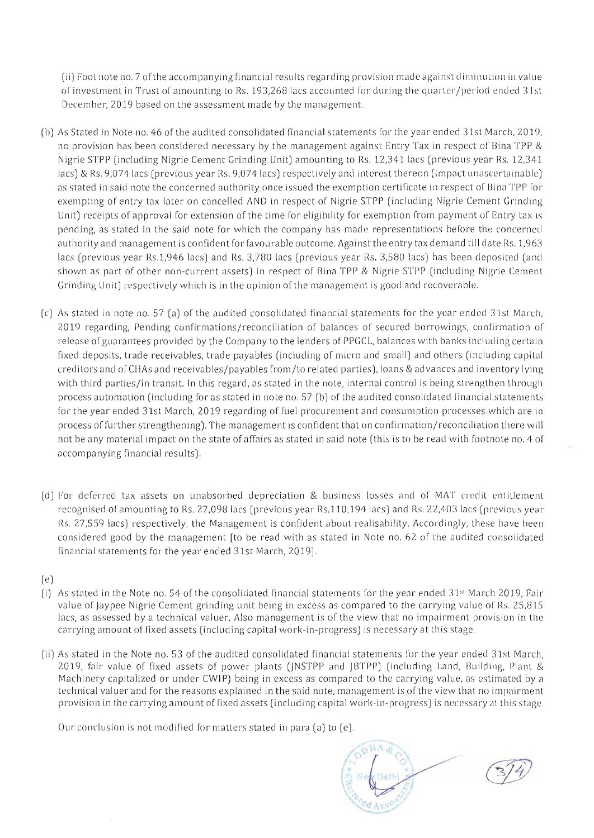(ii) Foot note no. 7 of the accompanying financial results regarding provision made against diminution in value of investment in Trust of amounting to Rs. 193,268 lacs acco unted for during the quarter/period ended 31st December, 2019 based on the assessment made by the management.

- (b) As Stated in Note no. 46 of the audited consolidated financial statements for the year ended 31st March, 2019, no provision has been considered necessary by the management against Entry Tax in respect of Bina TPP & Nigrie STPP (including Nigrie Cement Grinding Unit) amounting to Rs. 12,341 lacs (previous year Rs. 12,341 lacs) & Rs. 9,074 lacs (previous year Rs. 9,074 lacs) respectively and interest thereon (impact unascertainable) as stated in said note the concerned authority once issued the exemption certificate in respect of Bina TPP for exempting of entry tax later on cancelled AND in respect of Nigrie STPP (including Nigrie Cement Grinding Unit) receipts of approval for extension of the time for eligibility for exemption from payment of Entry tax is pending, as stated in the said note for which the company has made representations before the concerned authority and management is confident for favourable outcome. Against the entry tax demand till date Rs. 1,963 lacs (previous year Rs.1,946 lacs) and Rs. 3,780 lacs (previous year Rs. 3,580 lacs) has been deposited (and shown as part of other non-current assets) in respect of Bina TPP & Nigrie STPP (including Nigrie Cement Grinding Unit) respectively which is in the opinion of the management is good and recoverable.
- (c) As stated in note no. 57 (a) of the aud ited consolidated financial statements for the year e nded 31st March, 2019 regarding, Pending confirmations/reconciliation of balances of secured borrowings, confirmation of release of guarantees provided by the Company to the lenders of PPGCL, balances with banks including certain fix ed deposits, trade receivables, trade payables (including of micro and small) and others (including capital creditors and ofCHAs and receivables/payables from/to related parties), loans &advances and inventory lying with third parties/in transit. In this regard, as stated in the note, internal control is being strengthen through process automation (including for as stated in note no.  $57$  (b) of the audited consolidated financial statements for the year ended 31st March, 2019 regarding of fuel procurement and consumption processes which are in process of further strengthening). The management is confident that on confirmation/reconciliation there will not be any material impact on the state of affairs as stated in said note (this is to be read with footnote no. 4 of accompanying financial results).
- (d) For deferred tax assets on unabsorbed depreciation & business losses and of MAT credit entitlement recognised of amounting to Rs. 27,098 lacs (previous year Rs.110,194 lacs) and Rs. 22,403 lacs (previous year Rs. 27,559 lacs) respectively, the Management is confident about realisability. Accordingly, these have been considered good by the management [to be read with as stated in Note no. 62 of the audited consolidated financial statements for the year ended 31st March, 2019].
- (e)
- (i) As stated in the Note no. 54 of the consolidated financial statements for the year ended  $31$ <sup>st</sup> March 2019, Fair value of Jaypee Nigrie Cement grinding unit being in excess as compared to the carrying value of Rs. 25,815 lacs, as assessed by a technical valuer, Also management is of the view that no impairment provision in the carrying amount of fixed assets (including capital work-in-progress) is necessary at this stage.
- (ii) As stated in the Note no. 53 of the audited consolidated financial statements for the year ended 31st March, 2019, fair value of fixed assets of power plants (JNSTPP and JBTPP) (including Land, Building, Plant & Machinery capitalized or under CWIP) being in excess as compared to the carrying value, as estimated by a technical valuer and for the reasons explained in the said note, management is of the view that no impairment provision in the carrying amount of fixed assets (including capital work-in-progress) is necessary at this stage.

Our conclusion is not modified for matters stated in para  $(a)$  to  $(e)$ .